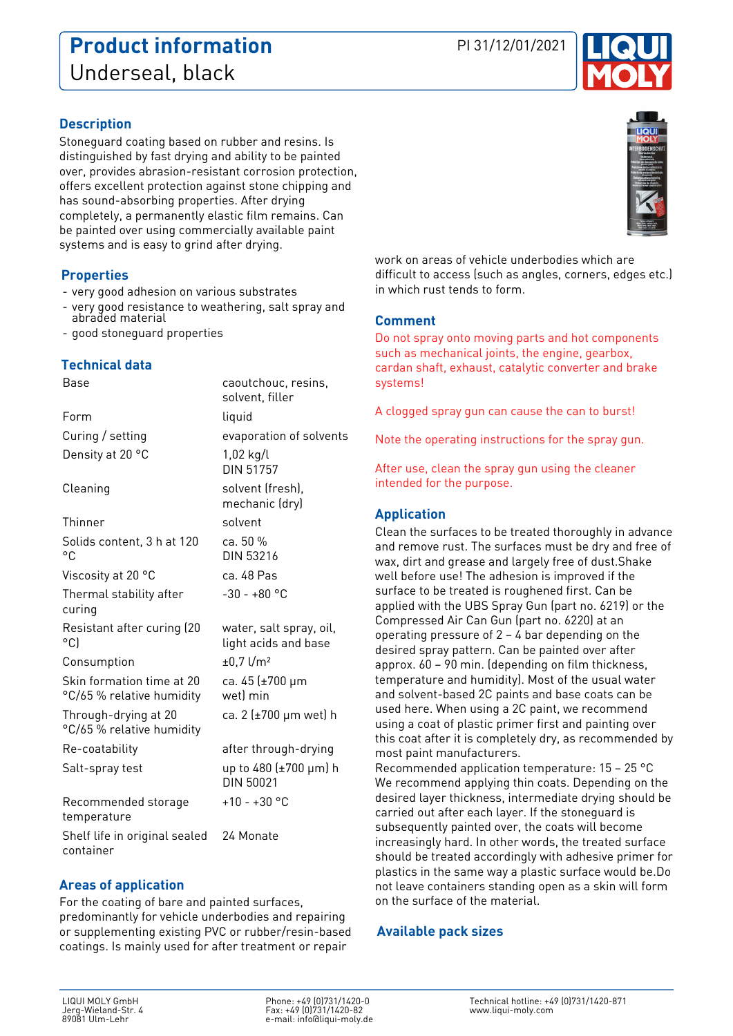# **Product information** PI 31/12/01/2021 Underseal, black



### **Description**

Stoneguard coating based on rubber and resins. Is distinguished by fast drying and ability to be painted over, provides abrasion-resistant corrosion protection, offers excellent protection against stone chipping and has sound-absorbing properties. After drying completely, a permanently elastic film remains. Can be painted over using commercially available paint systems and is easy to grind after drying.

### **Properties**

- very good adhesion on various substrates
- very good resistance to weathering, salt spray and abraded material

solvent, filler

DIN 51757

- good stoneguard properties

#### **Technical data**

Base caoutchouc, resins,

Form liquid Curing / setting evaporation of solvents Density at 20 °C 1,02 kg/l

Cleaning solvent (fresh),

|                                                        | mechanic (dry)                                  |
|--------------------------------------------------------|-------------------------------------------------|
| Thinner                                                | solvent                                         |
| Solids content, 3 h at 120<br>°C                       | ca. 50 %<br>DIN 53216                           |
| Viscosity at 20 °C                                     | ca. 48 Pas                                      |
| Thermal stability after<br>curing                      | $-30 - +80 °C$                                  |
| Resistant after curing (20<br>°C)                      | water, salt spray, oil,<br>light acids and base |
| Consumption                                            | $±0,7$ l/m <sup>2</sup>                         |
| Skin formation time at 20<br>°C/65 % relative humidity | ca. 45 (±700 µm<br>wet) min                     |
| Through-drying at 20<br>°C/65 % relative humidity      | ca. 2 (±700 µm wet) h                           |
| Re-coatability                                         | after through-drying                            |
| Salt-spray test                                        | up to 480 (±700 µm) h<br>DIN 50021              |
| Recommended storage<br>temperature                     | $+10 - +30 °C$                                  |
| Shelf life in original sealed<br>container             | 24 Monate                                       |

### **Areas of application**

For the coating of bare and painted surfaces, predominantly for vehicle underbodies and repairing or supplementing existing PVC or rubber/resin-based coatings. Is mainly used for after treatment or repair



work on areas of vehicle underbodies which are difficult to access (such as angles, corners, edges etc.) in which rust tends to form.

### **Comment**

Do not spray onto moving parts and hot components such as mechanical joints, the engine, gearbox, cardan shaft, exhaust, catalytic converter and brake systems!

A clogged spray gun can cause the can to burst!

Note the operating instructions for the spray gun.

After use, clean the spray gun using the cleaner intended for the purpose.

## **Application**

Clean the surfaces to be treated thoroughly in advance and remove rust. The surfaces must be dry and free of wax, dirt and grease and largely free of dust.Shake well before use! The adhesion is improved if the surface to be treated is roughened first. Can be applied with the UBS Spray Gun (part no. 6219) or the Compressed Air Can Gun (part no. 6220) at an operating pressure of 2 – 4 bar depending on the desired spray pattern. Can be painted over after approx. 60 – 90 min. (depending on film thickness, temperature and humidity). Most of the usual water and solvent-based 2C paints and base coats can be used here. When using a 2C paint, we recommend using a coat of plastic primer first and painting over this coat after it is completely dry, as recommended by most paint manufacturers.

Recommended application temperature: 15 – 25 °C We recommend applying thin coats. Depending on the desired layer thickness, intermediate drying should be carried out after each layer. If the stoneguard is subsequently painted over, the coats will become increasingly hard. In other words, the treated surface should be treated accordingly with adhesive primer for plastics in the same way a plastic surface would be.Do not leave containers standing open as a skin will form on the surface of the material.

### **Available pack sizes**